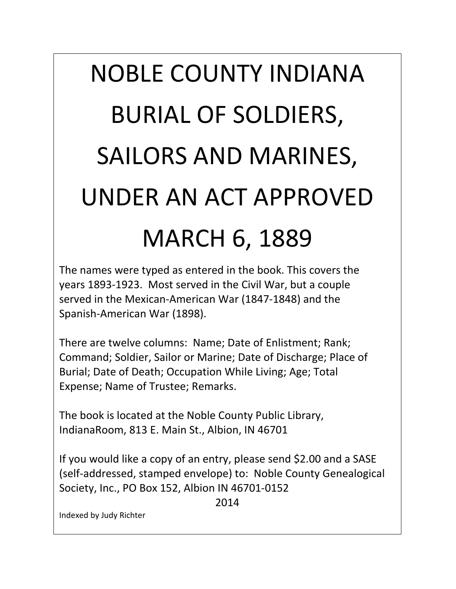## NOBLE COUNTY INDIANA BURIAL OF SOLDIERS, SAILORS AND MARINES, UNDER AN ACT APPROVED MARCH 6, 1889

The names were typed as entered in the book. This covers the years 1893-1923. Most served in the Civil War, but a couple served in the Mexican-American War (1847-1848) and the Spanish-American War (1898).

There are twelve columns: Name; Date of Enlistment; Rank; Command; Soldier, Sailor or Marine; Date of Discharge; Place of Burial; Date of Death; Occupation While Living; Age; Total Expense; Name of Trustee; Remarks.

The book is located at the Noble County Public Library, IndianaRoom, 813 E. Main St., Albion, IN 46701

If you would like a copy of an entry, please send \$2.00 and a SASE (self-addressed, stamped envelope) to: Noble County Genealogical Society, Inc., PO Box 152, Albion IN 46701-0152

2014

Indexed by Judy Richter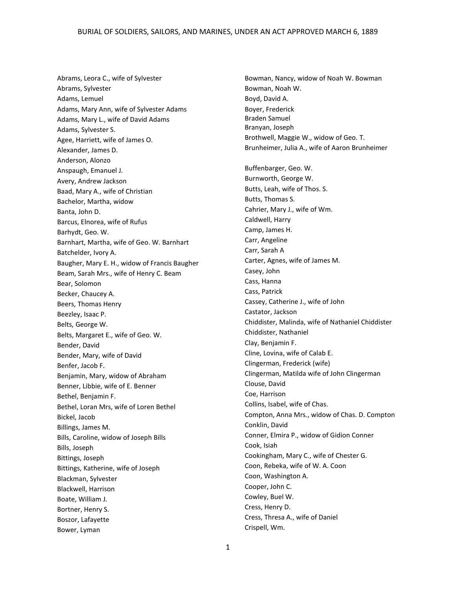Abrams, Leora C., wife of Sylvester Abrams, Sylvester Adams, Lemuel Adams, Mary Ann, wife of Sylvester Adams Adams, Mary L., wife of David Adams Adams, Sylvester S. Agee, Harriett, wife of James O. Alexander, James D. Anderson, Alonzo Anspaugh, Emanuel J. Avery, Andrew Jackson Baad, Mary A., wife of Christian Bachelor, Martha, widow Banta, John D. Barcus, Elnorea, wife of Rufus Barhydt, Geo. W. Barnhart, Martha, wife of Geo. W. Barnhart Batchelder, Ivory A. Baugher, Mary E. H., widow of Francis Baugher Beam, Sarah Mrs., wife of Henry C. Beam Bear, Solomon Becker, Chaucey A. Beers, Thomas Henry Beezley, Isaac P. Belts, George W. Belts, Margaret E., wife of Geo. W. Bender, David Bender, Mary, wife of David Benfer, Jacob F. Benjamin, Mary, widow of Abraham Benner, Libbie, wife of E. Benner Bethel, Benjamin F. Bethel, Loran Mrs, wife of Loren Bethel Bickel, Jacob Billings, James M. Bills, Caroline, widow of Joseph Bills Bills, Joseph Bittings, Joseph Bittings, Katherine, wife of Joseph Blackman, Sylvester Blackwell, Harrison Boate, William J. Bortner, Henry S. Boszor, Lafayette Bower, Lyman

Bowman, Nancy, widow of Noah W. Bowman Bowman, Noah W. Boyd, David A. Boyer, Frederick Braden Samuel Branyan, Joseph Brothwell, Maggie W., widow of Geo. T. Brunheimer, Julia A., wife of Aaron Brunheimer Buffenbarger, Geo. W. Burnworth, George W. Butts, Leah, wife of Thos. S. Butts, Thomas S. Cahrier, Mary J., wife of Wm. Caldwell, Harry Camp, James H. Carr, Angeline Carr, Sarah A Carter, Agnes, wife of James M. Casey, John Cass, Hanna Cass, Patrick Cassey, Catherine J., wife of John Castator, Jackson Chiddister, Malinda, wife of Nathaniel Chiddister Chiddister, Nathaniel Clay, Benjamin F. Cline, Lovina, wife of Calab E. Clingerman, Frederick (wife) Clingerman, Matilda wife of John Clingerman Clouse, David Coe, Harrison Collins, Isabel, wife of Chas. Compton, Anna Mrs., widow of Chas. D. Compton Conklin, David Conner, Elmira P., widow of Gidion Conner Cook, Isiah Cookingham, Mary C., wife of Chester G. Coon, Rebeka, wife of W. A. Coon Coon, Washington A. Cooper, John C. Cowley, Buel W. Cress, Henry D. Cress, Thresa A., wife of Daniel Crispell, Wm.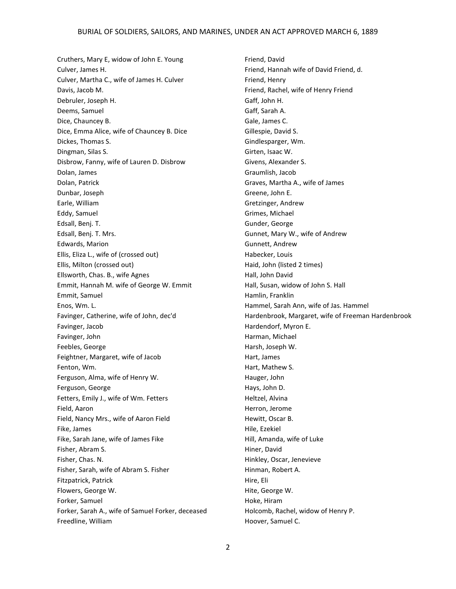Cruthers, Mary E, widow of John E. Young Culver, James H. Culver, Martha C., wife of James H. Culver Davis, Jacob M. Debruler, Joseph H. Deems, Samuel Dice, Chauncey B. Dice, Emma Alice, wife of Chauncey B. Dice Dickes, Thomas S. Dingman, Silas S. Disbrow, Fanny, wife of Lauren D. Disbrow Dolan, James Dolan, Patrick Dunbar, Joseph Earle, William Eddy, Samuel Edsall, Benj. T. Edsall, Benj. T. Mrs. Edwards, Marion Ellis, Eliza L., wife of (crossed out) Ellis, Milton (crossed out) Ellsworth, Chas. B., wife Agnes Emmit, Hannah M. wife of George W. Emmit Emmit, Samuel Enos, Wm. L. Favinger, Catherine, wife of John, dec'd Favinger, Jacob Favinger, John Feebles, George Feightner, Margaret, wife of Jacob Fenton, Wm. Ferguson, Alma, wife of Henry W. Ferguson, George Fetters, Emily J., wife of Wm. Fetters Field, Aaron Field, Nancy Mrs., wife of Aaron Field Fike, James Fike, Sarah Jane, wife of James Fike Fisher, Abram S. Fisher, Chas. N. Fisher, Sarah, wife of Abram S. Fisher Fitzpatrick, Patrick Flowers, George W. Forker, Samuel Forker, Sarah A., wife of Samuel Forker, deceased Freedline, William

Friend, David Friend, Hannah wife of David Friend, d. Friend, Henry Friend, Rachel, wife of Henry Friend Gaff, John H. Gaff, Sarah A. Gale, James C. Gillespie, David S. Gindlesparger, Wm. Girten, Isaac W. Givens, Alexander S. Graumlish, Jacob Graves, Martha A., wife of James Greene, John E. Gretzinger, Andrew Grimes, Michael Gunder, George Gunnet, Mary W., wife of Andrew Gunnett, Andrew Habecker, Louis Haid, John (listed 2 times) Hall, John David Hall, Susan, widow of John S. Hall Hamlin, Franklin Hammel, Sarah Ann, wife of Jas. Hammel Hardenbrook, Margaret, wife of Freeman Hardenbrook Hardendorf, Myron E. Harman, Michael Harsh, Joseph W. Hart, James Hart, Mathew S. Hauger, John Hays, John D. Heltzel, Alvina Herron, Jerome Hewitt, Oscar B. Hile, Ezekiel Hill, Amanda, wife of Luke Hiner, David Hinkley, Oscar, Jenevieve Hinman, Robert A. Hire, Eli Hite, George W. Hoke, Hiram Holcomb, Rachel, widow of Henry P. Hoover, Samuel C.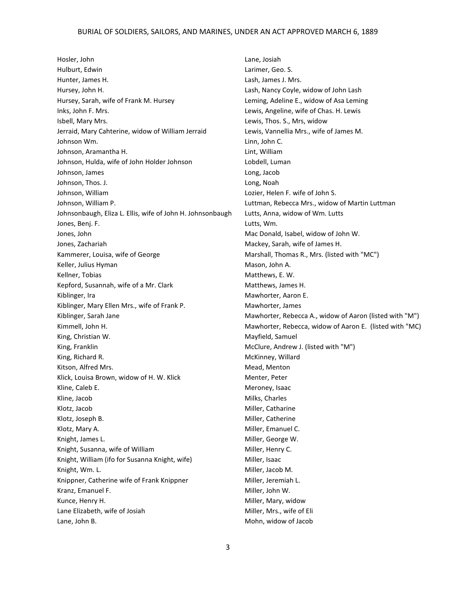## BURIAL OF SOLDIERS, SAILORS, AND MARINES, UNDER AN ACT APPROVED MARCH 6, 1889

Hosler, John Hulburt, Edwin Hunter, James H. Hursey, John H. Hursey, Sarah, wife of Frank M. Hursey Inks, John F. Mrs. Isbell, Mary Mrs. Jerraid, Mary Cahterine, widow of William Jerraid Johnson Wm. Johnson, Aramantha H. Johnson, Hulda, wife of John Holder Johnson Johnson, James Johnson, Thos. J. Johnson, William Johnson, William P. Johnsonbaugh, Eliza L. Ellis, wife of John H. Johnsonbaugh Jones, Benj. F. Jones, John Jones, Zachariah Kammerer, Louisa, wife of George Keller, Julius Hyman Kellner, Tobias Kepford, Susannah, wife of a Mr. Clark Kiblinger, Ira Kiblinger, Mary Ellen Mrs., wife of Frank P. Kiblinger, Sarah Jane Kimmell, John H. King, Christian W. King, Franklin King, Richard R. Kitson, Alfred Mrs. Klick, Louisa Brown, widow of H. W. Klick Kline, Caleb E. Kline, Jacob Klotz, Jacob Klotz, Joseph B. Klotz, Mary A. Knight, James L. Knight, Susanna, wife of William Knight, William (ifo for Susanna Knight, wife) Knight, Wm. L. Knippner, Catherine wife of Frank Knippner Kranz, Emanuel F. Kunce, Henry H. Lane Elizabeth, wife of Josiah Lane, John B.

Lane, Josiah Larimer, Geo. S. Lash, James J. Mrs. Lash, Nancy Coyle, widow of John Lash Leming, Adeline E., widow of Asa Leming Lewis, Angeline, wife of Chas. H. Lewis Lewis, Thos. S., Mrs, widow Lewis, Vannellia Mrs., wife of James M. Linn, John C. Lint, William Lobdell, Luman Long, Jacob Long, Noah Lozier, Helen F. wife of John S. Luttman, Rebecca Mrs., widow of Martin Luttman Lutts, Anna, widow of Wm. Lutts Lutts, Wm. Mac Donald, Isabel, widow of John W. Mackey, Sarah, wife of James H. Marshall, Thomas R., Mrs. (listed with "MC") Mason, John A. Matthews, E. W. Matthews, James H. Mawhorter, Aaron E. Mawhorter, James Mawhorter, Rebecca A., widow of Aaron (listed with "M") Mawhorter, Rebecca, widow of Aaron E. (listed with "MC) Mayfield, Samuel McClure, Andrew J. (listed with "M") McKinney, Willard Mead, Menton Menter, Peter Meroney, Isaac Milks, Charles Miller, Catharine Miller, Catherine Miller, Emanuel C. Miller, George W. Miller, Henry C. Miller, Isaac Miller, Jacob M. Miller, Jeremiah L. Miller, John W. Miller, Mary, widow Miller, Mrs., wife of Eli Mohn, widow of Jacob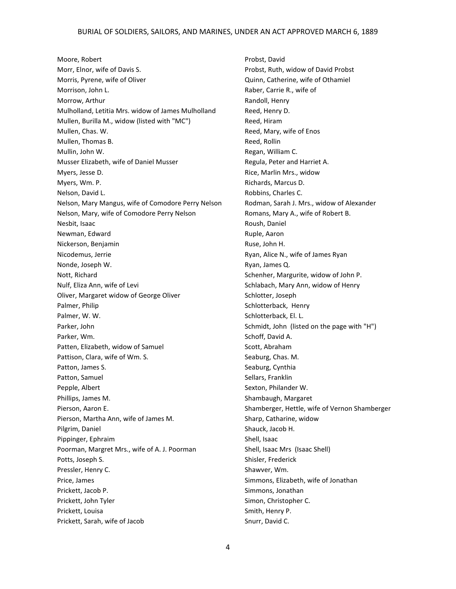Moore, Robert Morr, Elnor, wife of Davis S. Morris, Pyrene, wife of Oliver Morrison, John L. Morrow, Arthur Mulholland, Letitia Mrs. widow of James Mulholland Mullen, Burilla M., widow (listed with "MC") Mullen, Chas. W. Mullen, Thomas B. Mullin, John W. Musser Elizabeth, wife of Daniel Musser Myers, Jesse D. Myers, Wm. P. Nelson, David L. Nelson, Mary Mangus, wife of Comodore Perry Nelson Nelson, Mary, wife of Comodore Perry Nelson Nesbit, Isaac Newman, Edward Nickerson, Benjamin Nicodemus, Jerrie Nonde, Joseph W. Nott, Richard Nulf, Eliza Ann, wife of Levi Oliver, Margaret widow of George Oliver Palmer, Philip Palmer, W. W. Parker, John Parker, Wm. Patten, Elizabeth, widow of Samuel Pattison, Clara, wife of Wm. S. Patton, James S. Patton, Samuel Pepple, Albert Phillips, James M. Pierson, Aaron E. Pierson, Martha Ann, wife of James M. Pilgrim, Daniel Pippinger, Ephraim Poorman, Margret Mrs., wife of A. J. Poorman Potts, Joseph S. Pressler, Henry C. Price, James Prickett, Jacob P. Prickett, John Tyler Prickett, Louisa Prickett, Sarah, wife of Jacob

Probst, David Probst, Ruth, widow of David Probst Quinn, Catherine, wife of Othamiel Raber, Carrie R., wife of Randoll, Henry Reed, Henry D. Reed, Hiram Reed, Mary, wife of Enos Reed, Rollin Regan, William C. Regula, Peter and Harriet A. Rice, Marlin Mrs., widow Richards, Marcus D. Robbins, Charles C. Rodman, Sarah J. Mrs., widow of Alexander Romans, Mary A., wife of Robert B. Roush, Daniel Ruple, Aaron Ruse, John H. Ryan, Alice N., wife of James Ryan Ryan, James Q. Schenher, Margurite, widow of John P. Schlabach, Mary Ann, widow of Henry Schlotter, Joseph Schlotterback, Henry Schlotterback, El. L. Schmidt, John (listed on the page with "H") Schoff, David A. Scott, Abraham Seaburg, Chas. M. Seaburg, Cynthia Sellars, Franklin Sexton, Philander W. Shambaugh, Margaret Shamberger, Hettle, wife of Vernon Shamberger Sharp, Catharine, widow Shauck, Jacob H. Shell, Isaac Shell, Isaac Mrs (Isaac Shell) Shisler, Frederick Shawver, Wm. Simmons, Elizabeth, wife of Jonathan Simmons, Jonathan Simon, Christopher C. Smith, Henry P. Snurr, David C.